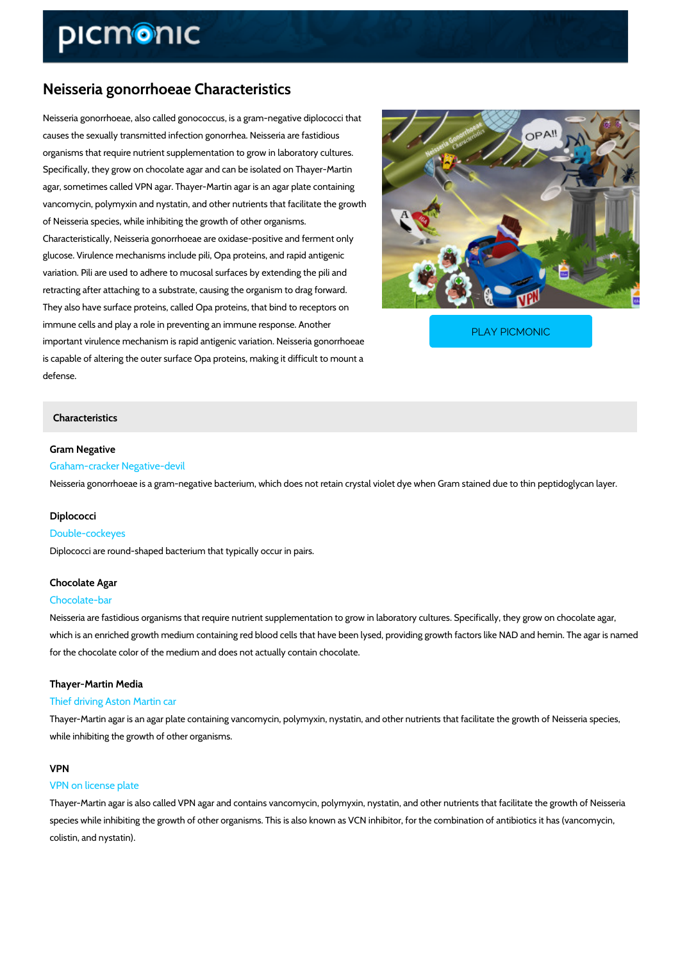# Neisseria gonorrhoeae Characteristics

Neisseria gonorrhoeae, also called gonococcus, is a gram-negative diplococci that causes the sexually transmitted infection gonorrhea. Neisseria are fastidious organisms that require nutrient supplementation to grow in laboratory cultures. Specifically, they grow on chocolate agar and can be isolated on Thayer-Martin agar, sometimes called VPN agar. Thayer-Martin agar is an agar plate containing vancomycin, polymyxin and nystatin, and other nutrients that facilitate the growth of Neisseria species, while inhibiting the growth of other organisms. Characteristically, Neisseria gonorrhoeae are oxidase-positive and ferment only glucose. Virulence mechanisms include pili, Opa proteins, and rapid antigenic variation. Pili are used to adhere to mucosal surfaces by extending the pili and retracting after attaching to a substrate, causing the organism to drag forward. They also have surface proteins, called Opa proteins, that bind to receptors on immune cells and play a role in preventing an immune res important virulence mechanism is rapid antigenic variatio is capable of altering the outer surface Opa proteins, making it difficult to mount a [PLAY PICMONIC](https://www.picmonic.com/learn/neisseria-gonorrhoeae-characteristics_358?utm_source=downloadable_content&utm_medium=distributedcontent&utm_campaign=pathways_pdf&utm_content=Neisseria gonorrhoeae Characteristics&utm_ad_group=leads&utm_market=all)

#### Characteristics

Gram Negative Graham-cracker Negative-devil Neisseria gonorrhoeae is a gram-negative bacterium, which does not retain crystal violet dye

#### Diplococci

defense.

Double-cockeyes Diplococci are round-shaped bacterium that typically occur in pairs.

# Chocolate Agar Chocolate-bar

Neisseria are fastidious organisms that require nutrient supplementation to grow in laboratory which is an enriched growth medium containing red blood cells that have been lysed, providin for the chocolate color of the medium and does not actually contain chocolate.

### Thayer-Martin Media

### Thief driving Aston Martin car

Thayer-Martin agar is an agar plate containing vancomycin, polymyxin, nystatin, and other nut while inhibiting the growth of other organisms.

### VPN

### VPN on license plate

Thayer-Martin agar is also called VPN agar and contains vancomycin, polymyxin, nystatin, and species while inhibiting the growth of other organisms. This is also known as VCN inhibitor, f colistin, and nystatin).